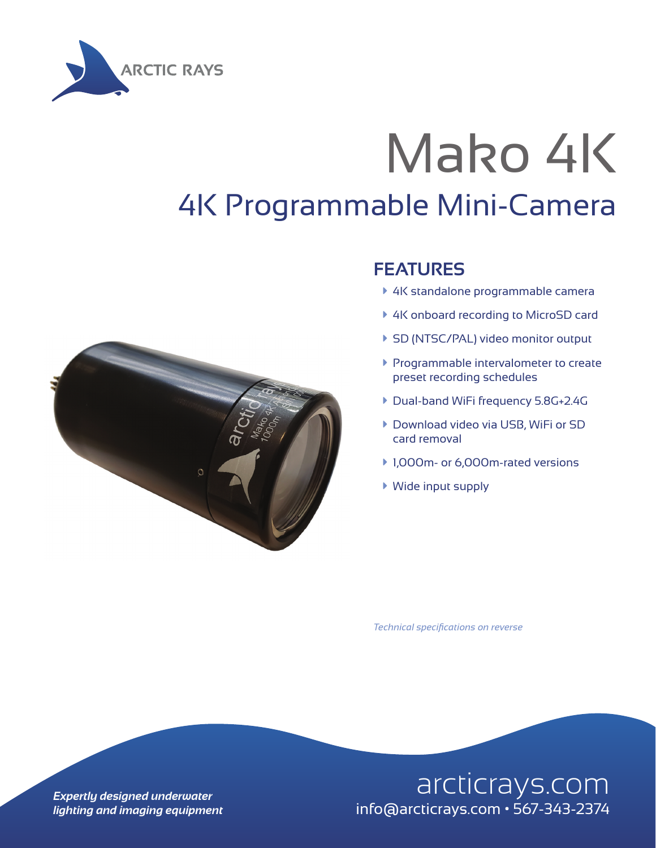

## Mako 4K 4K Programmable Mini-Camera



## **FEATURES**

- ▶ 4K standalone programmable camera
- ▶ 4K onboard recording to MicroSD card
- ▶ SD (NTSC/PAL) video monitor output
- **Programmable intervalometer to create** preset recording schedules
- ▶ Dual-band WiFi frequency 5.8G+2.4G
- **Download video via USB, WiFi or SD** card removal
- ▶ 1,000m- or 6,000m-rated versions
- $\blacktriangleright$  Wide input supply

*Technical specifications on reverse*

## **Expertly designed underwater** and arcticrays.com *lighting and imaging equipment* info@arcticrays.com • 567-343-2374